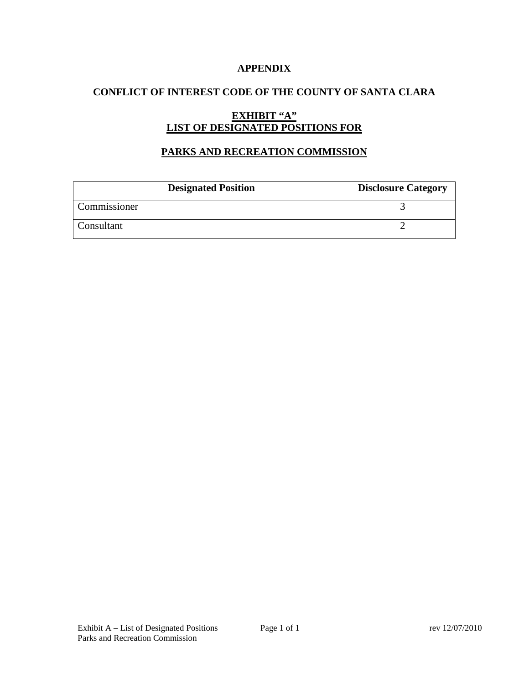### **APPENDIX**

### **CONFLICT OF INTEREST CODE OF THE COUNTY OF SANTA CLARA**

# **EXHIBIT "A" LIST OF DESIGNATED POSITIONS FOR**

### **PARKS AND RECREATION COMMISSION**

| <b>Designated Position</b> | <b>Disclosure Category</b> |
|----------------------------|----------------------------|
| Commissioner               |                            |
| Consultant                 |                            |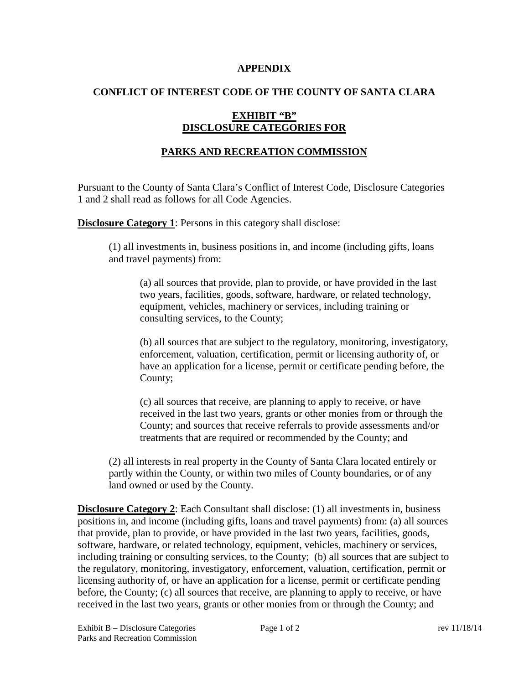#### **APPENDIX**

### **CONFLICT OF INTEREST CODE OF THE COUNTY OF SANTA CLARA**

### **EXHIBIT "B" DISCLOSURE CATEGORIES FOR**

## **PARKS AND RECREATION COMMISSION**

Pursuant to the County of Santa Clara's Conflict of Interest Code, Disclosure Categories 1 and 2 shall read as follows for all Code Agencies.

**Disclosure Category 1:** Persons in this category shall disclose:

(1) all investments in, business positions in, and income (including gifts, loans and travel payments) from:

(a) all sources that provide, plan to provide, or have provided in the last two years, facilities, goods, software, hardware, or related technology, equipment, vehicles, machinery or services, including training or consulting services, to the County;

(b) all sources that are subject to the regulatory, monitoring, investigatory, enforcement, valuation, certification, permit or licensing authority of, or have an application for a license, permit or certificate pending before, the County;

(c) all sources that receive, are planning to apply to receive, or have received in the last two years, grants or other monies from or through the County; and sources that receive referrals to provide assessments and/or treatments that are required or recommended by the County; and

(2) all interests in real property in the County of Santa Clara located entirely or partly within the County, or within two miles of County boundaries, or of any land owned or used by the County.

**Disclosure Category 2:** Each Consultant shall disclose: (1) all investments in, business positions in, and income (including gifts, loans and travel payments) from: (a) all sources that provide, plan to provide, or have provided in the last two years, facilities, goods, software, hardware, or related technology, equipment, vehicles, machinery or services, including training or consulting services, to the County; (b) all sources that are subject to the regulatory, monitoring, investigatory, enforcement, valuation, certification, permit or licensing authority of, or have an application for a license, permit or certificate pending before, the County; (c) all sources that receive, are planning to apply to receive, or have received in the last two years, grants or other monies from or through the County; and